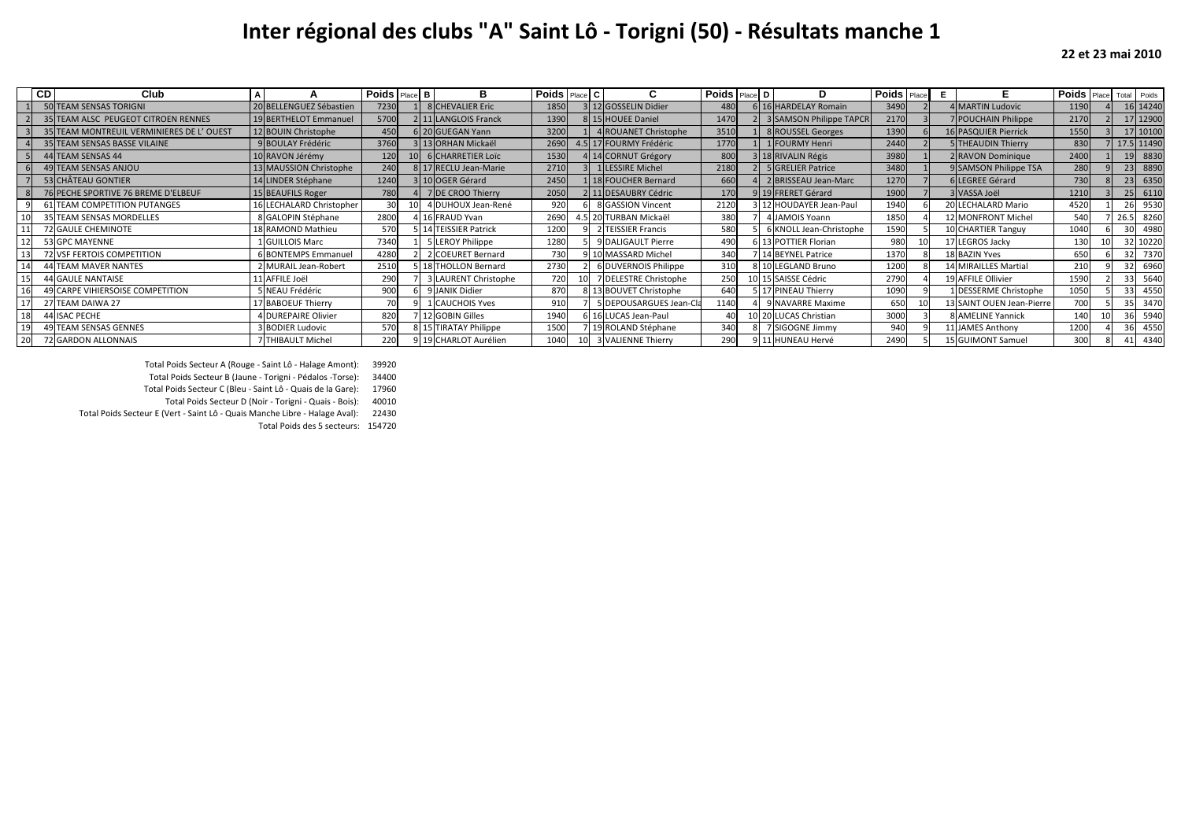## **Inter régional des clubs "A" Saint Lô - Torigni (50) - Résultats manche 1**

|    | CD | Club                                     | A |                          | <b>Poids</b> Place B |       | в                       | <b>Poids</b> Place C |                         | <b>Poids Place D</b> | D                         | <b>Poids</b> Place | Е | F.                        | <b>Poids</b> Place | Total           | Poids      |
|----|----|------------------------------------------|---|--------------------------|----------------------|-------|-------------------------|----------------------|-------------------------|----------------------|---------------------------|--------------------|---|---------------------------|--------------------|-----------------|------------|
|    |    | 50 TEAM SENSAS TORIGNI                   |   | 20 BELLENGUEZ Sébastien  | 7230                 |       | 8 CHEVALIER Eric        | 1850                 | 3 12 GOSSELIN Didier    | 480                  | 6 16 HARDELAY Romain      | 3490               |   | 4 MARTIN Ludovic          | 1190               |                 | 16 14240   |
|    |    | 35 TEAM ALSC PEUGEOT CITROEN RENNES      |   | 19 BERTHELOT Emmanuel    | 5700                 |       | 2 11 LANGLOIS Franck    | 1390                 | 8 15 HOUEE Daniel       | 1470                 | 2 3 SAMSON Philippe TAPCR | 2170               |   | 7 POUCHAIN Philippe       | 2170               |                 | 17 1290    |
|    |    | 35 TEAM MONTREUIL VERMINIERES DE L'OUEST |   | 12 BOUIN Christophe      | 450                  |       | 6 20 GUEGAN Yann        | 3200                 | 1 4 ROUANET Christophe  | 3510                 | 8 ROUSSEL Georges         | 1390               |   | 16 PASQUIER Pierrick      | 1550               |                 | 17 1010    |
|    |    | 35 TEAM SENSAS BASSE VILAINE             |   | 9 BOULAY Frédéric        | 3760                 |       | 3 13 ORHAN Mickaël      | 2690                 | 4.5 17 FOURMY Frédéric  | 1770                 | 1 FOURMY Henri            | 2440               |   | 5 THEAUDIN Thierry        | 830                |                 | 17.5 11490 |
|    |    | 44 TEAM SENSAS 44                        |   | 10 RAVON Jérémy          | 120                  |       | 10 6 CHARRETIER LOIC    | 1530                 | 4 14 CORNUT Grégory     | 800                  | 3 18 RIVALIN Régis        | 3980               |   | 2 RAVON Dominique         | 2400               | 19              | 8830       |
|    |    | 49 TEAM SENSAS ANJOU                     |   | 13 MAUSSION Christophe   | 240                  |       | 8 17 RECLU Jean-Marie   | 2710                 | 3 1 LESSIRE Michel      | 2180                 | 5 GRELIER Patrice         | 3480               |   | 9 SAMSON Philippe TSA     | 280                |                 | 8890       |
|    |    | 53 CHÂTEAU GONTIER                       |   | 14 LINDER Stéphane       | 1240                 |       | 3 10 OGER Gérard        | 2450                 | 1 18 FOUCHER Bernard    | 660                  | 2 BRISSEAU Jean-Marc      | 1270               |   | 6 LEGREE Gérard           | 730                | 23              | 635        |
|    |    | 76 PECHE SPORTIVE 76 BREME D'ELBEUF      |   | 15 BEAUFILS Roger        | 780                  |       | 7 DE CROO Thierry       | 2050                 | 2 11 DESAUBRY Cédric    | 170                  | 9 19 FRERET Gérard        | 1900               |   | 3 VASSA Joël              | 1210               | 25              | 611        |
|    |    | 61 TEAM COMPETITION PUTANGES             |   | 16 LECHALARD Christopher | 30 <sup>1</sup>      |       | DUHOUX Jean-René        | 920                  | 6 8 GASSION Vincent     | 2120                 | 3 12 HOUDAYER Jean-Paul   | 1940               |   | 20 LECHALARD Mario        | 4520               |                 | 9530       |
|    |    | 35 TEAM SENSAS MORDELLES                 |   | 8 GALOPIN Stéphane       | 2800                 |       | 16 FRAUD Yvan           | 2690                 | 4.5 20 TURBAN Mickaël   | 380                  | 4 JAMOIS Yoann            | 1850               |   | 2 MONFRONT Michel         | 540                | 26.5            | 8260       |
|    |    | 72 GAULE CHEMINOTE                       |   | 18 RAMOND Mathieu        | 570                  |       | <b>TEISSIER Patrick</b> | 1200                 | 9 2 TEISSIER Francis    | 580                  | 6 KNOLL Jean-Christophe   | 1590               |   | 10 CHARTIER Tanguy        | 1040               | 30 <sup>1</sup> | 4980       |
|    |    | 53 GPC MAYENNE                           |   | 1 GUILLOIS Marc          | 7340                 |       | 5 LEROY Philippe        | 1280                 | 9 DALIGAULT Pierre      | 490                  | 6 13 POTTIER Florian      | 980                |   | 17 LEGROS Jacky           | 130                |                 | 32 10220   |
| 13 |    | 72 VSF FERTOIS COMPETITION               |   | 6 BONTEMPS Emmanuel      | 4280                 |       | 2 COEURET Bernard       | 730                  | 9 10 MASSARD Michel     | 340                  | 7 14 BEYNEL Patrice       | 1370               |   | <b>18 BAZIN Yves</b>      | 650                |                 | 7370       |
| 14 |    | 44 TEAM MAVER NANTES                     |   | 2 MURAIL Jean-Robert     | 2510                 |       | 5 18 THOLLON Bernard    | 2730                 | 6 DUVERNOIS Philippe    | 310                  | 8 10 LEGLAND Bruno        | 1200               |   | 14 MIRAILLES Martial      | 210                | 32              | 6960       |
|    |    | <b>44 GAULE NANTAISE</b>                 |   | 11 AFFILE Joël           | 290                  |       | LAURENT Christophe      | 720                  | 7 DELESTRE Christophe   | 250                  | 10 15 SAISSE Cédric       | 2790               |   | 19 AFFILE Ollivier        | 1590               | 33              | 5640       |
|    |    | 49 CARPE VIHIERSOISE COMPETITION         |   | 5 NEAU Frédéric          | 900                  |       | <b>JANIK Didier</b>     | 870                  | 8 13 BOUVET Christophe  | 640                  | 5 17 PINEAU Thierry       | 1090               |   | 1 DESSERME Christophe     | 1050               | 33              | 4550       |
|    |    | 27 TEAM DAIWA 27                         |   | 17 BABOEUF Thierry       | 70                   |       | <b>CAUCHOIS Yves</b>    | 910                  | 5 DEPOUSARGUES Jean-Cla | 1140                 | 9 NAVARRE Maxime          | 650                |   | 13 SAINT OUEN Jean-Pierre | 700                | 35              | 3470       |
| 18 |    | 44 ISAC PECHE                            |   | 4 DUREPAIRE Olivier      | 820                  |       | 7 12 GOBIN Gilles       | 1940                 | 6 16 LUCAS Jean-Paul    | $40^{\circ}$         | 10 20 LUCAS Christian     | 3000               |   | 8 AMELINE Yannick         | 140                | 36              | 5940       |
| 19 |    | 49 TEAM SENSAS GENNES                    |   | 3 BODIER Ludovic         | 570                  | 8 1 5 | <b>TIRATAY Philippe</b> | 1500                 | 7 19 ROLAND Stéphane    | 340                  | 7 SIGOGNE Jimmy           | 940                |   | 11 JAMES Anthony          | 1200               | 36              | 4550       |
| 20 |    | 72 GARDON ALLONNAIS                      |   | 7 THIBAULT Michel        | 220                  |       | 9 19 CHARLOT Aurélien   | 1040                 | 10 3 VALIENNE Thierry   | 290                  | 9 11 HUNEAU Hervé         | 2490               |   | 15 GUIMONT Samuel         | 300                | 41              | 4340       |

Total Poids Secteur A (Rouge - Saint Lô - Halage Amont): 39920

Total Poids Secteur B (Jaune - Torigni - Pédalos -Torse): 34400

Total Poids Secteur C (Bleu - Saint Lô - Quais de la Gare): 17960

Total Poids Secteur D (Noir - Torigni - Quais - Bois): 40010

Total Poids Secteur E (Vert - Saint Lô - Quais Manche Libre - Halage Aval): 22430

Total Poids des 5 secteurs: 154720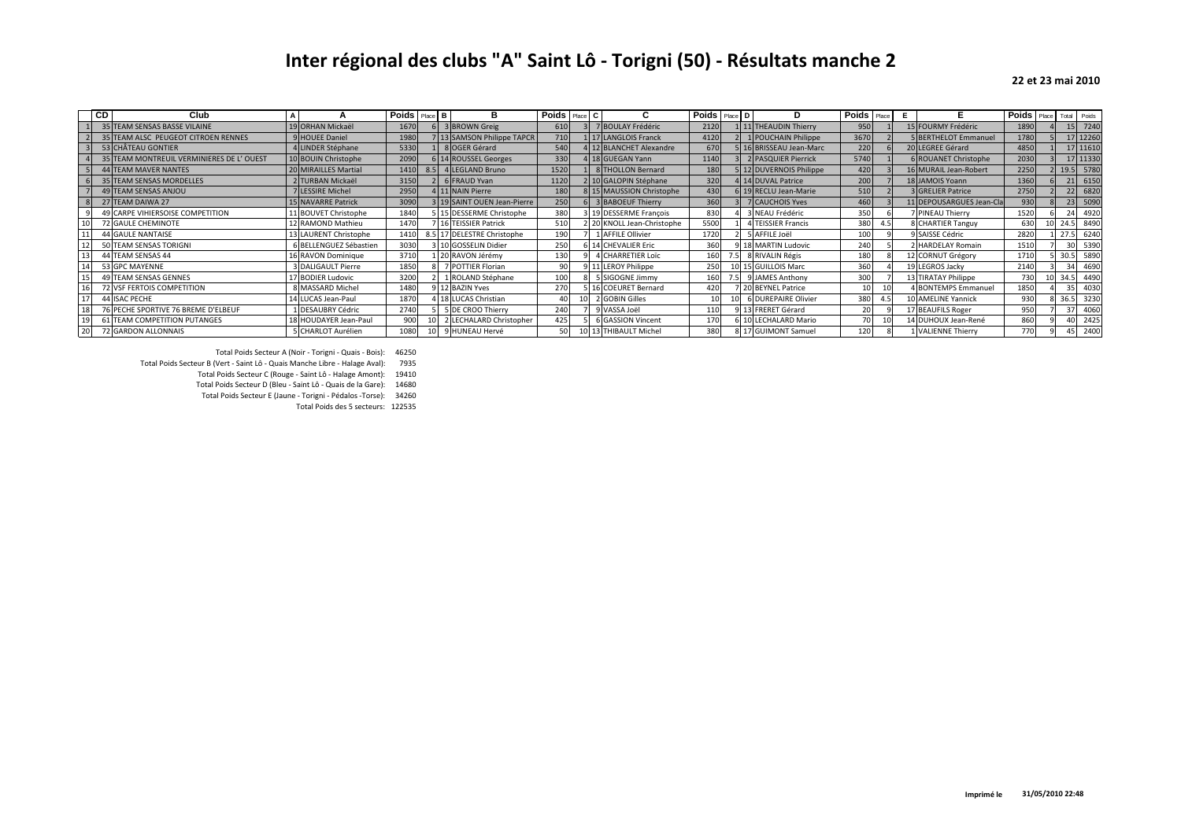## **Inter régional des clubs "A" Saint Lô - Torigni (50) - Résultats manche 2**

## **22 et 23 mai 2010**

|                | CD<br>Club                               |                           | <b>Poids</b> Place B |     | в                           | Poids Place C |                            | <b>Poids</b> Place D |     | D                       | <b>Poids</b> Place |     | F.                          |      | Poids Place Total Poids |
|----------------|------------------------------------------|---------------------------|----------------------|-----|-----------------------------|---------------|----------------------------|----------------------|-----|-------------------------|--------------------|-----|-----------------------------|------|-------------------------|
|                | 35 TEAM SENSAS BASSE VILAINE             | 19 ORHAN Mickaël          | 1670                 |     | 3 BROWN Greig               | 610           | 7 BOULAY Frédéric          | 2120                 | 111 | 1 THEAUDIN Thierry      | 950                |     | 15 FOURMY Frédéric          | 1890 | 15 7240                 |
|                | 2 35 TEAM ALSC PEUGEOT CITROEN RENNES    | 9 HOUEE Daniel            | 1980                 |     | 7 13 SAMSON Philippe TAPCR  | 710           | 1 17 LANGLOIS Franck       | 4120                 |     | 1 POUCHAIN Philippe     | 3670               |     | <b>5 BERTHELOT Emmanuel</b> | 1780 | 17 12260                |
|                | 3 53 CHÂTEAU GONTIER                     | 4 LINDER Stéphane         | 5330                 |     | 8 OGER Gérard               | 540           | 4 12 BLANCHET Alexandre    | 670                  |     | 5 16 BRISSEAU Jean-Marc | 220                |     | 20 LEGREE Gérard            | 4850 | 17 11610                |
| 4 <sup>1</sup> | 35 TEAM MONTREUIL VERMINIERES DE L'OUEST | 10 BOUIN Christophe       | 2090                 |     | 14 ROUSSEL Georges          | 330           | 4 18 GUEGAN Yann           | 1140                 |     | 2 PASQUIER Pierrick     | 5740               |     | 6 ROUANET Christophe        | 2030 | 17 11330                |
| 5 <sup>1</sup> | <b>44 TEAM MAVER NANTES</b>              | 20 MIRAILLES Martial      | 1410                 | 8.5 | 4 LEGLAND Bruno             | 1520          | 8 THOLLON Bernard          | 180                  |     | 5 12 DUVERNOIS Philippe | 420                |     | 16 MURAIL Jean-Robert       | 2250 | 19.5 5780               |
|                | 35 TEAM SENSAS MORDELLES                 | 2 TURBAN Mickaël          | 3150                 |     | 6 FRAUD Yvan                | 1120          | 2 10 GALOPIN Stéphane      | 320                  |     | 4 14 DUVAL Patrice      | 200                |     | 18 JAMOIS Yoann             | 1360 | 21 6150                 |
|                | 49 TEAM SENSAS ANJOU                     | 7 LESSIRE Michel          | 2950                 |     | 4 11 NAIN Pierre            | 180           | 8 15 MAUSSION Christophe   | 430                  |     | 6 19 RECLU Jean-Marie   | 510                |     | <b>3 GRELIER Patrice</b>    | 2750 | 6820<br>221             |
|                | 8 27 TEAM DAIWA 27                       | <b>15 NAVARRE Patrick</b> | 3090                 |     | 3 19 SAINT OUEN Jean-Pierre | 250           | 3 BABOEUF Thierry          | 360                  |     | 7 CAUCHOIS Yves         | 460                |     | 11 DEPOUSARGUES Jean-Cla    | 930  | 5090<br>23 <sup>1</sup> |
|                | 49 CARPE VIHIERSOISE COMPETITION         | 11 BOUVET Christophe      | 1840                 |     | 15 DESSERME Christophe      | 380           | 3 19 DESSERME François     | 830                  |     | 3 NEAU Frédéric         | 350                |     | 7 PINEAU Thierry            | 1520 | 4920                    |
|                | 72 GAULE CHEMINOTE                       | 12 RAMOND Mathieu         | 1470                 |     | 16 TEISSIER Patrick         | 510           | 2 20 KNOLL Jean-Christophe | 5500                 |     | 4 TEISSIER Francis      | 380                | 4.5 | 8 CHARTIER Tanguy           | 630  | 8490<br>24.5            |
|                | <b>44 GAULE NANTAISE</b>                 | LAURENT Christophe        | 1410                 |     | 8.5 17 DELESTRE Christophe  | 190           | 1 AFFILE Ollivier          | 1720                 |     | 5 AFFILE Joël           | 100                |     | 9 SAISSE Cédric             | 2820 | 6240<br>27.5            |
|                | 50 TEAM SENSAS TORIGNI                   | 6 BELLENGUEZ Sébastien    | 3030                 |     | 10 GOSSELIN Didier          | 250           | <b>CHEVALIER Eric</b>      | 360                  |     | 18 MARTIN Ludovic       | 240                |     | <b>HARDELAY Romain</b>      | 1510 | 301<br>5390             |
| 13             | 44 TEAM SENSAS 44                        | 16 RAVON Dominique        | 3710                 |     | 20 RAVON Jérémy             | 130           | <b>CHARRETIER LOTC</b>     | 160                  |     | 8 RIVALIN Régis         | 180                |     | 12 CORNUT Grégory           | 1710 | 5890<br>30.5            |
| 14             | 53 GPC MAYENNE                           | 3 DALIGAULT Pierre        | 1850                 |     | 7 POTTIER Florian           | 90            | 9 11 LEROY Philippe        | 250                  |     | 10 15 GUILLOIS Marc     | 360                |     | 19 LEGROS Jacky             | 2140 | 4690<br>34              |
|                | 49 TEAM SENSAS GENNES                    | 17 BODIER Ludovic         | 3200                 |     | 1 ROLAND Stéphane           | 100           | 5 SIGOGNE Jimmy            | 160                  |     | 9 JAMES Anthony         | 300                |     | 13 TIRATAY Philippe         | 730  | 34.5 4490               |
| 16             | 72 VSF FERTOIS COMPETITION               | 8 MASSARD Michel          | 1480                 |     | 12 BAZIN Yves               | 270           | 5 16 COEURET Bernard       | 420                  |     | 20 BEYNEL Patrice       |                    |     | 4 BONTEMPS Emmanuel         | 1850 | 4030                    |
| 17             | 44 ISAC PECHE                            | LUCAS Jean-Paul           | 1870                 |     | 18 LUCAS Christian          |               | 2 GOBIN Gilles             |                      |     | 6 DUREPAIRE Olivier     | 380                | 4.5 | LO AMELINE Yannick          | 930  | 36.5 3230               |
| 18             | 76 PECHE SPORTIVE 76 BREME D'ELBEUF      | 1 DESAUBRY Cédric         | 2740                 |     | 5 DE CROO Thierry           | 240           | 9 VASSA Joël               | 110                  |     | 9 13 FRERET Gérard      |                    |     | 17 BEAUFILS Roger           | 950  | 37<br>4060              |
|                | 61 TEAM COMPETITION PUTANGES             | 18 HOUDAYER Jean-Paul     | 900                  |     | 2 LECHALARD Christopher     | 425           | <b>6 GASSION Vincent</b>   | 170                  |     | 6 10 LECHALARD Mario    |                    |     | 14 DUHOUX Jean-René         | 860  | 40 <sup>1</sup><br>2425 |
| 20             | 72 GARDON ALLONNAIS                      | 5 CHARLOT Aurélien        | 1080                 |     | 9 HUNEAU Hervé              | 50            | 10 13 THIBAULT Michel      | 380                  |     | 8 17 GUIMONT Samuel     | 120                |     | 1 VALIENNE Thierry          | 770  | 2400                    |

Total Poids Secteur A (Noir - Torigni - Quais - Bois): 46250

Total Poids Secteur B (Vert - Saint Lô - Quais Manche Libre - Halage Aval): 7935

Total Poids Secteur C (Rouge - Saint Lô - Halage Amont): 19410

Total Poids Secteur D (Bleu - Saint Lô - Quais de la Gare): 14680

 Total Poids Secteur E (Jaune - Torigni - Pédalos -Torse): 34260Total Poids des 5 secteurs: 122535